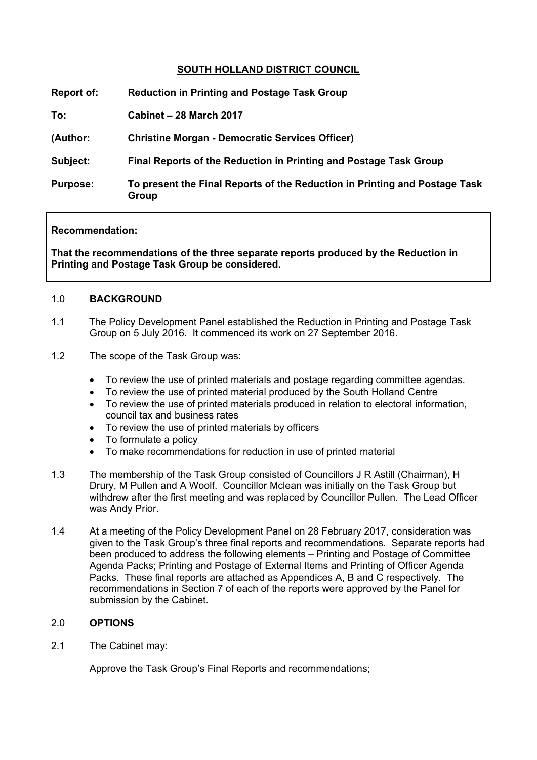# **SOUTH HOLLAND DISTRICT COUNCIL**

| Report of:      | <b>Reduction in Printing and Postage Task Group</b>                                 |
|-----------------|-------------------------------------------------------------------------------------|
| To:             | Cabinet - 28 March 2017                                                             |
| (Author:        | <b>Christine Morgan - Democratic Services Officer)</b>                              |
| Subject:        | Final Reports of the Reduction in Printing and Postage Task Group                   |
| <b>Purpose:</b> | To present the Final Reports of the Reduction in Printing and Postage Task<br>Group |

## **Recommendation:**

**That the recommendations of the three separate reports produced by the Reduction in Printing and Postage Task Group be considered.**

## 1.0 **BACKGROUND**

- 1.1 The Policy Development Panel established the Reduction in Printing and Postage Task Group on 5 July 2016. It commenced its work on 27 September 2016.
- 1.2 The scope of the Task Group was:
	- To review the use of printed materials and postage regarding committee agendas.
	- To review the use of printed material produced by the South Holland Centre
	- To review the use of printed materials produced in relation to electoral information, council tax and business rates
	- To review the use of printed materials by officers
	- To formulate a policy
	- To make recommendations for reduction in use of printed material
- 1.3 The membership of the Task Group consisted of Councillors J R Astill (Chairman), H Drury, M Pullen and A Woolf. Councillor Mclean was initially on the Task Group but withdrew after the first meeting and was replaced by Councillor Pullen. The Lead Officer was Andy Prior.
- 1.4 At a meeting of the Policy Development Panel on 28 February 2017, consideration was given to the Task Group's three final reports and recommendations. Separate reports had been produced to address the following elements – Printing and Postage of Committee Agenda Packs; Printing and Postage of External Items and Printing of Officer Agenda Packs. These final reports are attached as Appendices A, B and C respectively. The recommendations in Section 7 of each of the reports were approved by the Panel for submission by the Cabinet.

# 2.0 **OPTIONS**

2.1 The Cabinet may:

Approve the Task Group's Final Reports and recommendations;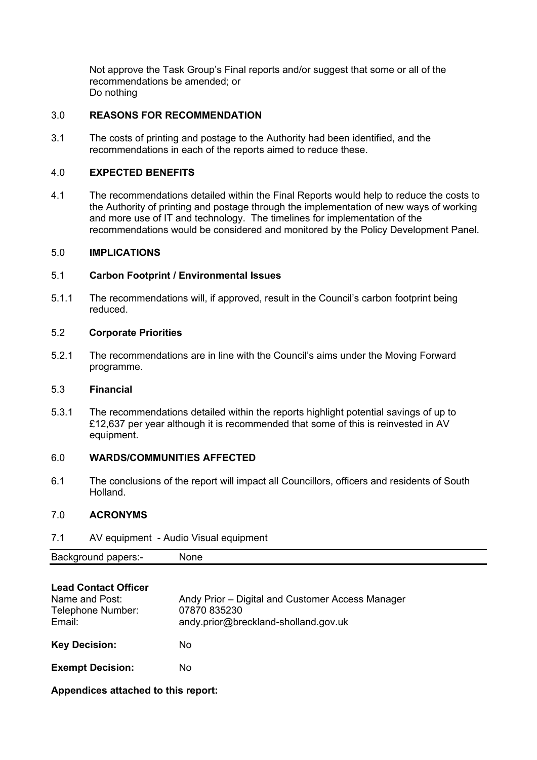Not approve the Task Group's Final reports and/or suggest that some or all of the recommendations be amended; or Do nothing

# 3.0 **REASONS FOR RECOMMENDATION**

3.1 The costs of printing and postage to the Authority had been identified, and the recommendations in each of the reports aimed to reduce these.

# 4.0 **EXPECTED BENEFITS**

4.1 The recommendations detailed within the Final Reports would help to reduce the costs to the Authority of printing and postage through the implementation of new ways of working and more use of IT and technology. The timelines for implementation of the recommendations would be considered and monitored by the Policy Development Panel.

#### 5.0 **IMPLICATIONS**

## 5.1 **Carbon Footprint / Environmental Issues**

5.1.1 The recommendations will, if approved, result in the Council's carbon footprint being reduced.

#### 5.2 **Corporate Priorities**

5.2.1 The recommendations are in line with the Council's aims under the Moving Forward programme.

## 5.3 **Financial**

5.3.1 The recommendations detailed within the reports highlight potential savings of up to £12,637 per year although it is recommended that some of this is reinvested in AV equipment.

#### 6.0 **WARDS/COMMUNITIES AFFECTED**

6.1 The conclusions of the report will impact all Councillors, officers and residents of South Holland.

#### 7.0 **ACRONYMS**

7.1 AV equipment - Audio Visual equipment

| Background<br>papers:- | one<br>мı |  |
|------------------------|-----------|--|
|                        |           |  |

| <b>Lead Contact Officer</b><br>Name and Post:<br>Telephone Number:<br>Email: | Andy Prior – Digital and Customer Access Manager<br>07870 835230<br>andy.prior@breckland-sholland.gov.uk |
|------------------------------------------------------------------------------|----------------------------------------------------------------------------------------------------------|
| <b>Key Decision:</b>                                                         | No                                                                                                       |
| <b>Exempt Decision:</b>                                                      | No                                                                                                       |

**Appendices attached to this report:**